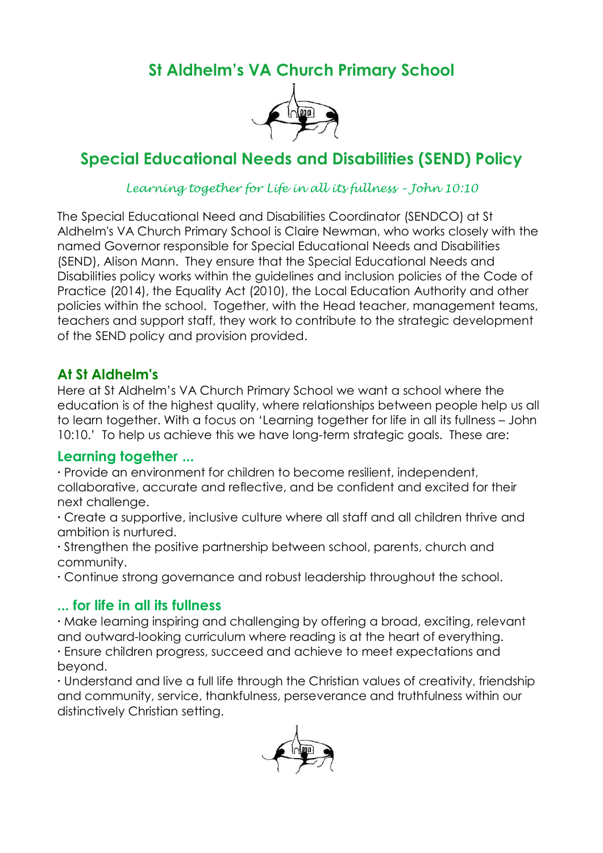**St Aldhelm's VA Church Primary School**



# **Special Educational Needs and Disabilities (SEND) Policy**

### *Learning together for Life in all its fullness – John 10:10*

The Special Educational Need and Disabilities Coordinator (SENDCO) at St Aldhelm's VA Church Primary School is Claire Newman, who works closely with the named Governor responsible for Special Educational Needs and Disabilities (SEND), Alison Mann. They ensure that the Special Educational Needs and Disabilities policy works within the guidelines and inclusion policies of the Code of Practice (2014), the Equality Act (2010), the Local Education Authority and other policies within the school. Together, with the Head teacher, management teams, teachers and support staff, they work to contribute to the strategic development of the SEND policy and provision provided.

### **At St Aldhelm's**

Here at St Aldhelm's VA Church Primary School we want a school where the education is of the highest quality, where relationships between people help us all to learn together. With a focus on 'Learning together for life in all its fullness – John 10:10.' To help us achieve this we have long-term strategic goals. These are:

### **Learning together ...**

**∙** Provide an environment for children to become resilient, independent, collaborative, accurate and reflective, and be confident and excited for their next challenge.

**∙** Create a supportive, inclusive culture where all staff and all children thrive and ambition is nurtured.

**∙** Strengthen the positive partnership between school, parents, church and community.

**∙** Continue strong governance and robust leadership throughout the school.

#### **... for life in all its fullness**

**∙** Make learning inspiring and challenging by offering a broad, exciting, relevant and outward-looking curriculum where reading is at the heart of everything. **∙** Ensure children progress, succeed and achieve to meet expectations and beyond.

**∙** Understand and live a full life through the Christian values of creativity, friendship and community, service, thankfulness, perseverance and truthfulness within our distinctively Christian setting.

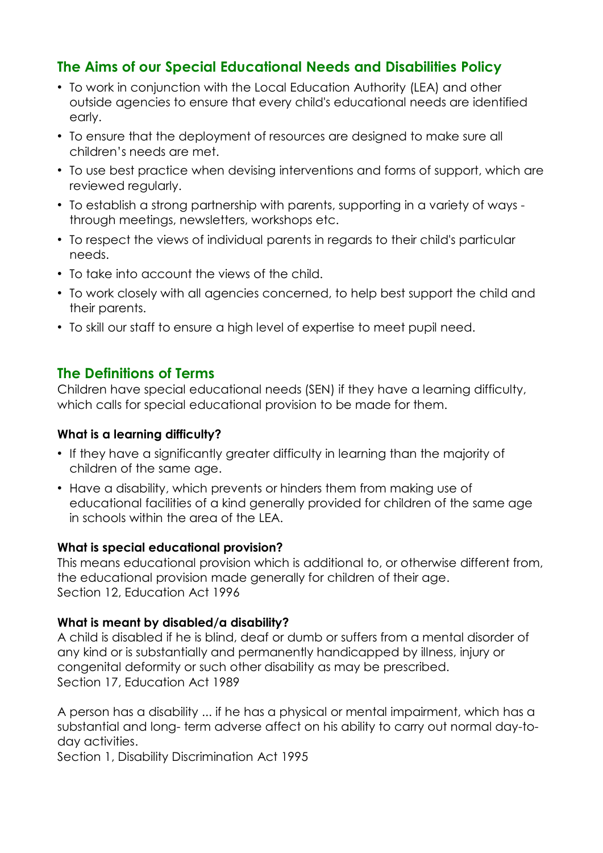# **The Aims of our Special Educational Needs and Disabilities Policy**

- To work in conjunction with the Local Education Authority (LEA) and other outside agencies to ensure that every child's educational needs are identified early.
- To ensure that the deployment of resources are designed to make sure all children's needs are met.
- To use best practice when devising interventions and forms of support, which are reviewed regularly.
- To establish a strong partnership with parents, supporting in a variety of ways through meetings, newsletters, workshops etc.
- To respect the views of individual parents in regards to their child's particular needs.
- To take into account the views of the child.
- To work closely with all agencies concerned, to help best support the child and their parents.
- To skill our staff to ensure a high level of expertise to meet pupil need.

### **The Definitions of Terms**

Children have special educational needs (SEN) if they have a learning difficulty, which calls for special educational provision to be made for them.

#### **What is a learning difficulty?**

- If they have a significantly greater difficulty in learning than the majority of children of the same age.
- Have a disability, which prevents or hinders them from making use of educational facilities of a kind generally provided for children of the same age in schools within the area of the LEA.

#### **What is special educational provision?**

This means educational provision which is additional to, or otherwise different from, the educational provision made generally for children of their age. Section 12, Education Act 1996

#### **What is meant by disabled/a disability?**

A child is disabled if he is blind, deaf or dumb or suffers from a mental disorder of any kind or is substantially and permanently handicapped by illness, injury or congenital deformity or such other disability as may be prescribed. Section 17, Education Act 1989

A person has a disability ... if he has a physical or mental impairment, which has a substantial and long- term adverse affect on his ability to carry out normal day-today activities.

Section 1, Disability Discrimination Act 1995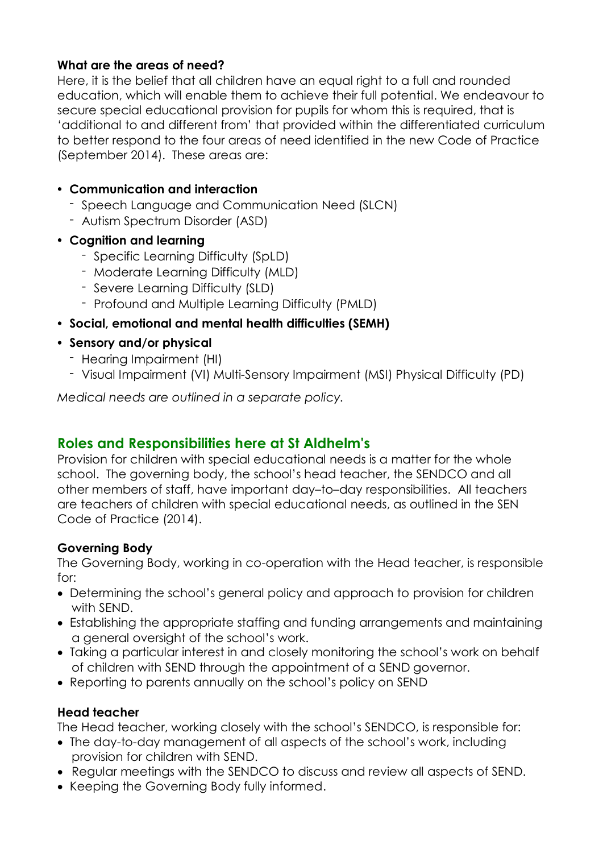### **What are the areas of need?**

Here, it is the belief that all children have an equal right to a full and rounded education, which will enable them to achieve their full potential. We endeavour to secure special educational provision for pupils for whom this is required, that is 'additional to and different from' that provided within the differentiated curriculum to better respond to the four areas of need identified in the new Code of Practice (September 2014). These areas are:

#### • **Communication and interaction**

- Speech Language and Communication Need (SLCN)
- Autism Spectrum Disorder (ASD)
- **Cognition and learning**
	- Specific Learning Difficulty (SpLD)
	- Moderate Learning Difficulty (MLD)
	- Severe Learning Difficulty (SLD)
	- Profound and Multiple Learning Difficulty (PMLD)
- **Social, emotional and mental health difficulties (SEMH)**
- **Sensory and/or physical**
	- Hearing Impairment (HI)
	- Visual Impairment (VI) Multi-Sensory Impairment (MSI) Physical Difficulty (PD)

*Medical needs are outlined in a separate policy.*

# **Roles and Responsibilities here at St Aldhelm's**

Provision for children with special educational needs is a matter for the whole school. The governing body, the school's head teacher, the SENDCO and all other members of staff, have important day–to–day responsibilities. All teachers are teachers of children with special educational needs, as outlined in the SEN Code of Practice (2014).

### **Governing Body**

The Governing Body, working in co-operation with the Head teacher, is responsible for:

- Determining the school's general policy and approach to provision for children with SEND.
- Establishing the appropriate staffing and funding arrangements and maintaining a general oversight of the school's work.
- Taking a particular interest in and closely monitoring the school's work on behalf of children with SEND through the appointment of a SEND governor.
- Reporting to parents annually on the school's policy on SEND

### **Head teacher**

The Head teacher, working closely with the school's SENDCO, is responsible for:

- The day-to-day management of all aspects of the school's work, including provision for children with SEND.
- Regular meetings with the SENDCO to discuss and review all aspects of SEND.
- Keeping the Governing Body fully informed.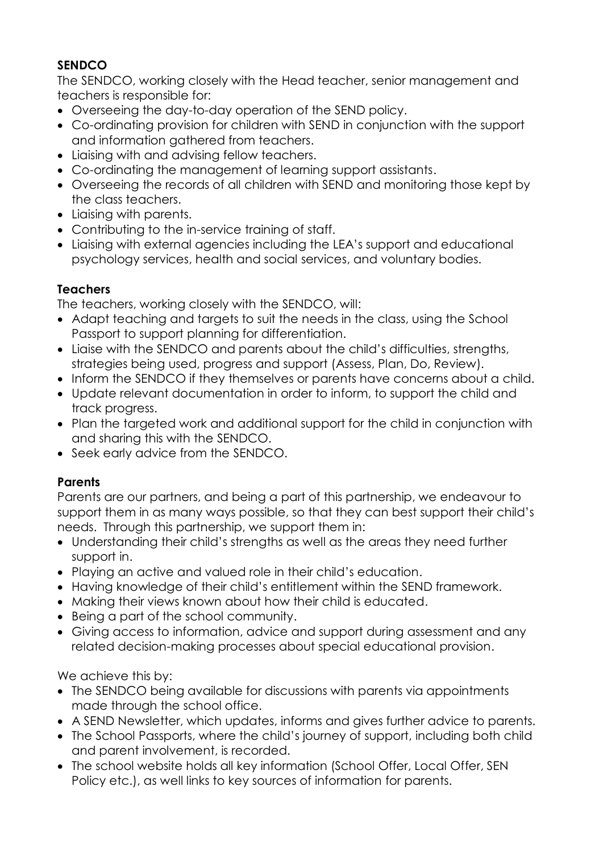# **SENDCO**

The SENDCO, working closely with the Head teacher, senior management and teachers is responsible for:

- Overseeing the day-to-day operation of the SEND policy.
- Co-ordinating provision for children with SEND in conjunction with the support and information gathered from teachers.
- Liaising with and advising fellow teachers.
- Co-ordinating the management of learning support assistants.
- Overseeing the records of all children with SEND and monitoring those kept by the class teachers.
- Liaising with parents.
- Contributing to the in-service training of staff.
- Liaising with external agencies including the LEA's support and educational psychology services, health and social services, and voluntary bodies.

# **Teachers**

The teachers, working closely with the SENDCO, will:

- Adapt teaching and targets to suit the needs in the class, using the School Passport to support planning for differentiation.
- Liaise with the SENDCO and parents about the child's difficulties, strengths, strategies being used, progress and support (Assess, Plan, Do, Review).
- Inform the SENDCO if they themselves or parents have concerns about a child.
- Update relevant documentation in order to inform, to support the child and track progress.
- Plan the targeted work and additional support for the child in conjunction with and sharing this with the SENDCO.
- Seek early advice from the SENDCO.

# **Parents**

Parents are our partners, and being a part of this partnership, we endeavour to support them in as many ways possible, so that they can best support their child's needs. Through this partnership, we support them in:

- Understanding their child's strengths as well as the areas they need further support in.
- Playing an active and valued role in their child's education.
- Having knowledge of their child's entitlement within the SEND framework.
- Making their views known about how their child is educated.
- Being a part of the school community.
- Giving access to information, advice and support during assessment and any related decision-making processes about special educational provision.

We achieve this by:

- The SENDCO being available for discussions with parents via appointments made through the school office.
- A SEND Newsletter, which updates, informs and gives further advice to parents.
- The School Passports, where the child's journey of support, including both child and parent involvement, is recorded.
- The school website holds all key information (School Offer, Local Offer, SEN Policy etc.), as well links to key sources of information for parents.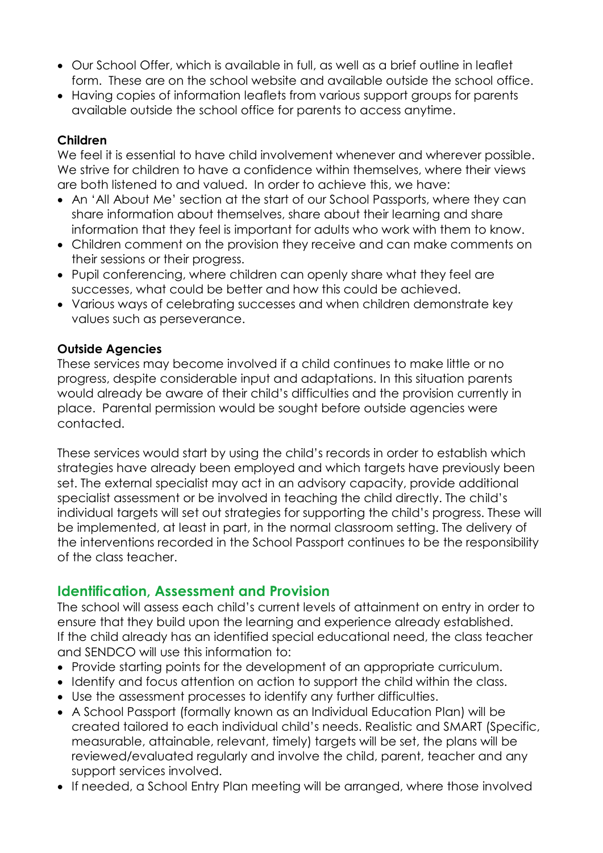- Our School Offer, which is available in full, as well as a brief outline in leaflet form. These are on the school website and available outside the school office.
- Having copies of information leaflets from various support groups for parents available outside the school office for parents to access anytime.

#### **Children**

We feel it is essential to have child involvement whenever and wherever possible. We strive for children to have a confidence within themselves, where their views are both listened to and valued. In order to achieve this, we have:

- An 'All About Me' section at the start of our School Passports, where they can share information about themselves, share about their learning and share information that they feel is important for adults who work with them to know.
- Children comment on the provision they receive and can make comments on their sessions or their progress.
- Pupil conferencing, where children can openly share what they feel are successes, what could be better and how this could be achieved.
- Various ways of celebrating successes and when children demonstrate key values such as perseverance.

#### **Outside Agencies**

These services may become involved if a child continues to make little or no progress, despite considerable input and adaptations. In this situation parents would already be aware of their child's difficulties and the provision currently in place. Parental permission would be sought before outside agencies were contacted.

These services would start by using the child's records in order to establish which strategies have already been employed and which targets have previously been set. The external specialist may act in an advisory capacity, provide additional specialist assessment or be involved in teaching the child directly. The child's individual targets will set out strategies for supporting the child's progress. These will be implemented, at least in part, in the normal classroom setting. The delivery of the interventions recorded in the School Passport continues to be the responsibility of the class teacher.

# **Identification, Assessment and Provision**

The school will assess each child's current levels of attainment on entry in order to ensure that they build upon the learning and experience already established. If the child already has an identified special educational need, the class teacher and SENDCO will use this information to:

- Provide starting points for the development of an appropriate curriculum.
- Identify and focus attention on action to support the child within the class.
- Use the assessment processes to identify any further difficulties.
- A School Passport (formally known as an Individual Education Plan) will be created tailored to each individual child's needs. Realistic and SMART (Specific, measurable, attainable, relevant, timely) targets will be set, the plans will be reviewed/evaluated regularly and involve the child, parent, teacher and any support services involved.
- If needed, a School Entry Plan meeting will be arranged, where those involved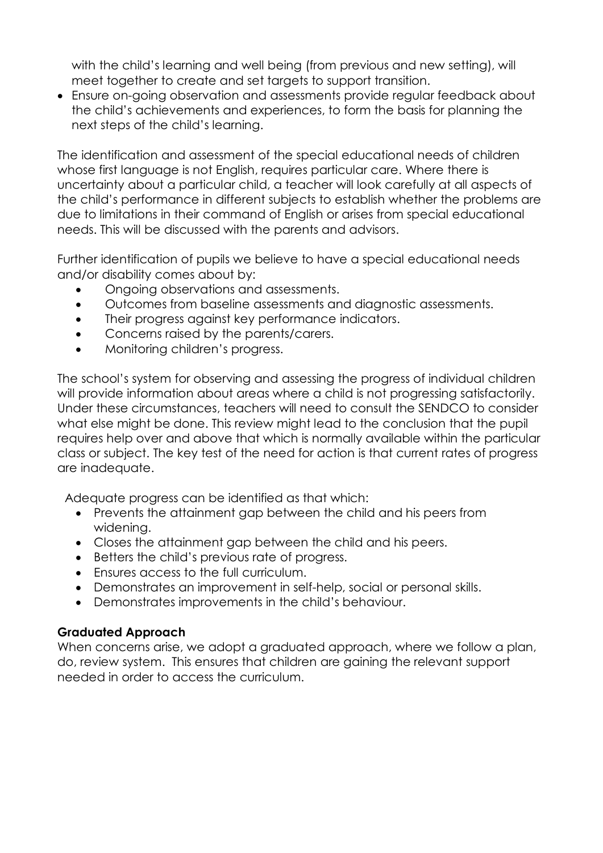with the child's learning and well being (from previous and new setting), will meet together to create and set targets to support transition.

 Ensure on-going observation and assessments provide regular feedback about the child's achievements and experiences, to form the basis for planning the next steps of the child's learning.

The identification and assessment of the special educational needs of children whose first language is not English, requires particular care. Where there is uncertainty about a particular child, a teacher will look carefully at all aspects of the child's performance in different subjects to establish whether the problems are due to limitations in their command of English or arises from special educational needs. This will be discussed with the parents and advisors.

Further identification of pupils we believe to have a special educational needs and/or disability comes about by:

- Ongoing observations and assessments.
- Outcomes from baseline assessments and diagnostic assessments.
- Their progress against key performance indicators.
- Concerns raised by the parents/carers.
- Monitoring children's progress.

The school's system for observing and assessing the progress of individual children will provide information about areas where a child is not progressing satisfactorily. Under these circumstances, teachers will need to consult the SENDCO to consider what else might be done. This review might lead to the conclusion that the pupil requires help over and above that which is normally available within the particular class or subject. The key test of the need for action is that current rates of progress are inadequate.

Adequate progress can be identified as that which:

- Prevents the attainment gap between the child and his peers from widening.
- Closes the attainment gap between the child and his peers.
- Betters the child's previous rate of progress.
- Ensures access to the full curriculum.
- Demonstrates an improvement in self-help, social or personal skills.
- Demonstrates improvements in the child's behaviour.

#### **Graduated Approach**

When concerns arise, we adopt a graduated approach, where we follow a plan, do, review system. This ensures that children are gaining the relevant support needed in order to access the curriculum.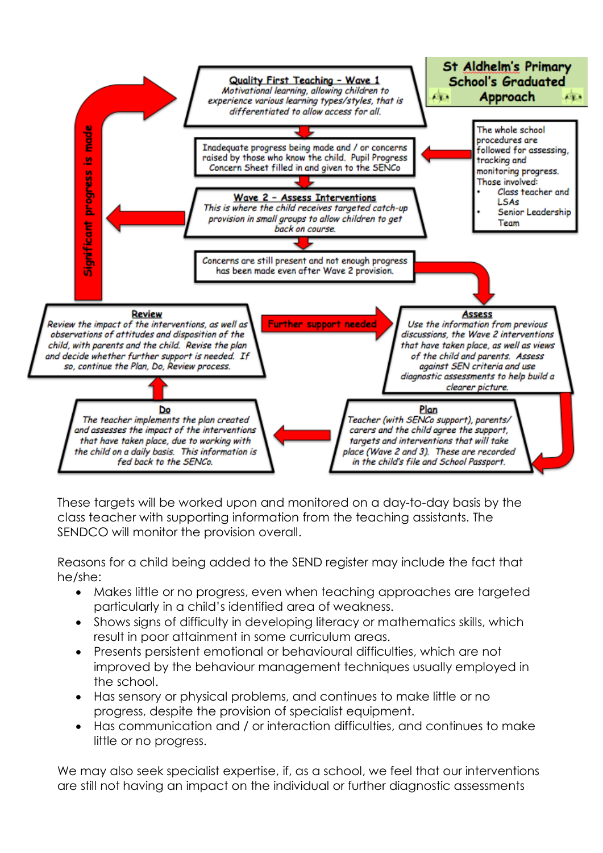

These targets will be worked upon and monitored on a day-to-day basis by the class teacher with supporting information from the teaching assistants. The SENDCO will monitor the provision overall.

Reasons for a child being added to the SEND register may include the fact that he/she:

- Makes little or no progress, even when teaching approaches are targeted particularly in a child's identified area of weakness.
- Shows signs of difficulty in developing literacy or mathematics skills, which result in poor attainment in some curriculum areas.
- Presents persistent emotional or behavioural difficulties, which are not improved by the behaviour management techniques usually employed in the school.
- Has sensory or physical problems, and continues to make little or no progress, despite the provision of specialist equipment.
- Has communication and / or interaction difficulties, and continues to make little or no progress.

We may also seek specialist expertise, if, as a school, we feel that our interventions are still not having an impact on the individual or further diagnostic assessments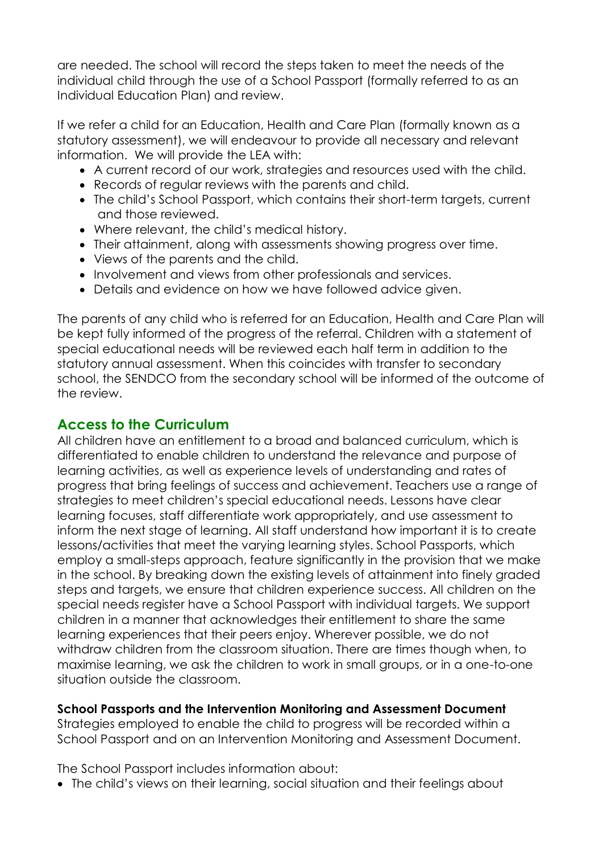are needed. The school will record the steps taken to meet the needs of the individual child through the use of a School Passport (formally referred to as an Individual Education Plan) and review.

If we refer a child for an Education, Health and Care Plan (formally known as a statutory assessment), we will endeavour to provide all necessary and relevant information. We will provide the LEA with:

- A current record of our work, strategies and resources used with the child.
- Records of regular reviews with the parents and child.
- The child's School Passport, which contains their short-term targets, current and those reviewed.
- Where relevant, the child's medical history.
- Their attainment, along with assessments showing progress over time.
- Views of the parents and the child.
- Involvement and views from other professionals and services.
- Details and evidence on how we have followed advice given.

The parents of any child who is referred for an Education, Health and Care Plan will be kept fully informed of the progress of the referral. Children with a statement of special educational needs will be reviewed each half term in addition to the statutory annual assessment. When this coincides with transfer to secondary school, the SENDCO from the secondary school will be informed of the outcome of the review.

# **Access to the Curriculum**

All children have an entitlement to a broad and balanced curriculum, which is differentiated to enable children to understand the relevance and purpose of learning activities, as well as experience levels of understanding and rates of progress that bring feelings of success and achievement. Teachers use a range of strategies to meet children's special educational needs. Lessons have clear learning focuses, staff differentiate work appropriately, and use assessment to inform the next stage of learning. All staff understand how important it is to create lessons/activities that meet the varying learning styles. School Passports, which employ a small-steps approach, feature significantly in the provision that we make in the school. By breaking down the existing levels of attainment into finely graded steps and targets, we ensure that children experience success. All children on the special needs register have a School Passport with individual targets. We support children in a manner that acknowledges their entitlement to share the same learning experiences that their peers enjoy. Wherever possible, we do not withdraw children from the classroom situation. There are times though when, to maximise learning, we ask the children to work in small groups, or in a one-to-one situation outside the classroom.

### **School Passports and the Intervention Monitoring and Assessment Document**

Strategies employed to enable the child to progress will be recorded within a School Passport and on an Intervention Monitoring and Assessment Document.

The School Passport includes information about:

• The child's views on their learning, social situation and their feelings about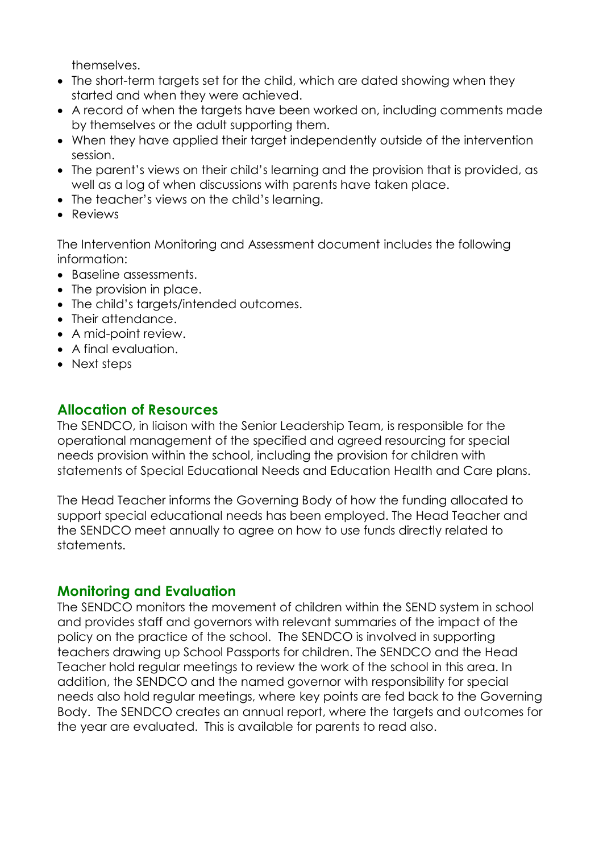themselves.

- The short-term targets set for the child, which are dated showing when they started and when they were achieved.
- A record of when the targets have been worked on, including comments made by themselves or the adult supporting them.
- When they have applied their target independently outside of the intervention session.
- The parent's views on their child's learning and the provision that is provided, as well as a log of when discussions with parents have taken place.
- The teacher's views on the child's learning.
- Reviews

The Intervention Monitoring and Assessment document includes the following information:

- Baseline assessments.
- The provision in place.
- The child's targets/intended outcomes.
- Their attendance.
- A mid-point review.
- A final evaluation.
- Next steps

### **Allocation of Resources**

The SENDCO, in liaison with the Senior Leadership Team, is responsible for the operational management of the specified and agreed resourcing for special needs provision within the school, including the provision for children with statements of Special Educational Needs and Education Health and Care plans.

The Head Teacher informs the Governing Body of how the funding allocated to support special educational needs has been employed. The Head Teacher and the SENDCO meet annually to agree on how to use funds directly related to statements.

# **Monitoring and Evaluation**

The SENDCO monitors the movement of children within the SEND system in school and provides staff and governors with relevant summaries of the impact of the policy on the practice of the school. The SENDCO is involved in supporting teachers drawing up School Passports for children. The SENDCO and the Head Teacher hold regular meetings to review the work of the school in this area. In addition, the SENDCO and the named governor with responsibility for special needs also hold regular meetings, where key points are fed back to the Governing Body. The SENDCO creates an annual report, where the targets and outcomes for the year are evaluated. This is available for parents to read also.